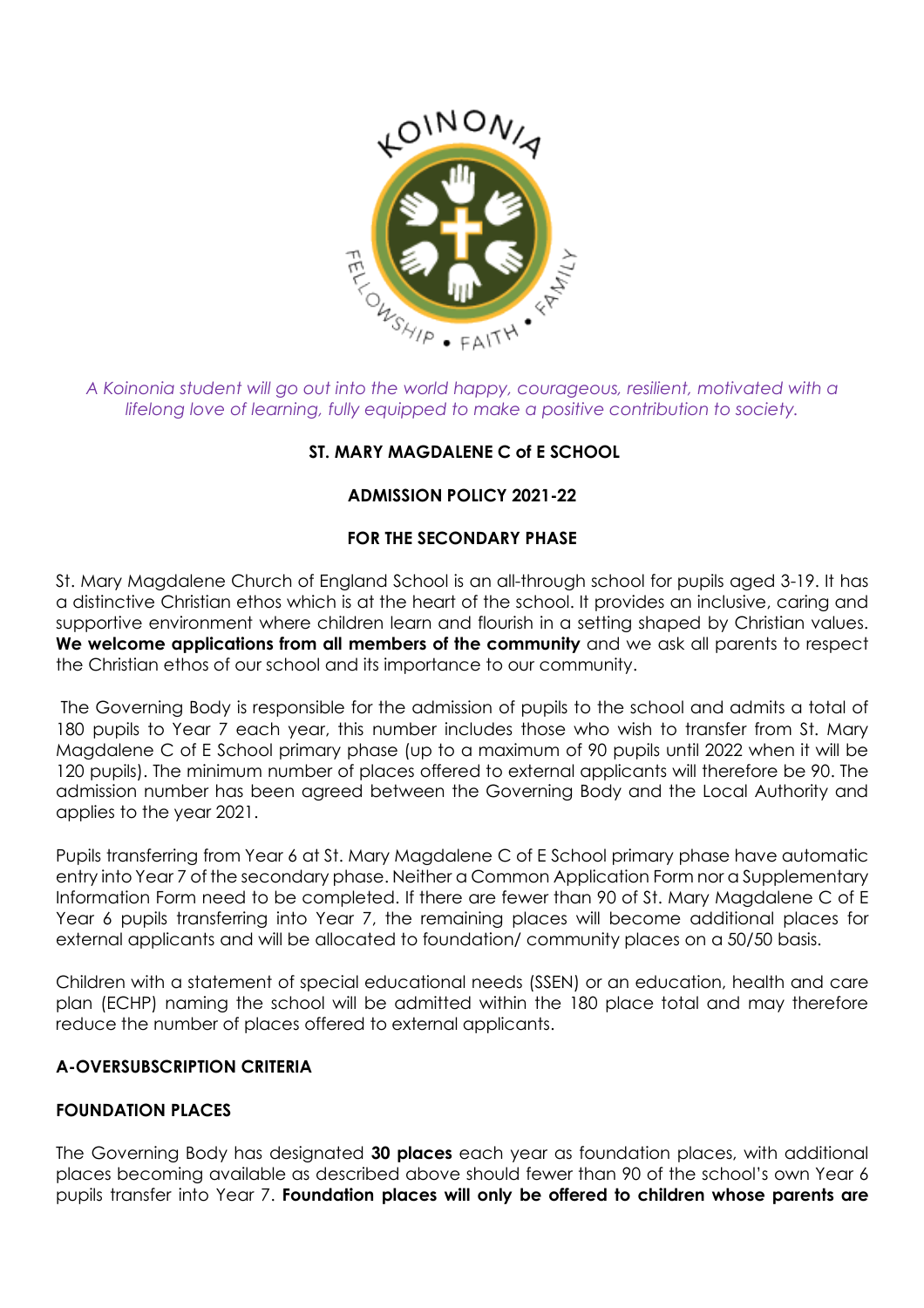

*A Koinonia student will go out into the world happy, courageous, resilient, motivated with a lifelong love of learning, fully equipped to make a positive contribution to society.* 

# **ST. MARY MAGDALENE C of E SCHOOL**

# **ADMISSION POLICY 2021-22**

### **FOR THE SECONDARY PHASE**

St. Mary Magdalene Church of England School is an all-through school for pupils aged 3-19. It has a distinctive Christian ethos which is at the heart of the school. It provides an inclusive, caring and supportive environment where children learn and flourish in a setting shaped by Christian values. We welcome applications from all members of the community and we ask all parents to respect the Christian ethos of our school and its importance to our community.

The Governing Body is responsible for the admission of pupils to the school and admits a total of 180 pupils to Year 7 each year, this number includes those who wish to transfer from St. Mary Magdalene C of E School primary phase (up to a maximum of 90 pupils until 2022 when it will be 120 pupils). The minimum number of places offered to external applicants will therefore be 90. The admission number has been agreed between the Governing Body and the Local Authority and applies to the year 2021.

Pupils transferring from Year 6 at St. Mary Magdalene C of E School primary phase have automatic entry into Year 7 of the secondary phase. Neither a Common Application Form nor a Supplementary Information Form need to be completed. If there are fewer than 90 of St. Mary Magdalene C of E Year 6 pupils transferring into Year 7, the remaining places will become additional places for external applicants and will be allocated to foundation/ community places on a 50/50 basis.

Children with a statement of special educational needs (SSEN) or an education, health and care plan (ECHP) naming the school will be admitted within the 180 place total and may therefore reduce the number of places offered to external applicants.

# **A-OVERSUBSCRIPTION CRITERIA**

# **FOUNDATION PLACES**

The Governing Body has designated **30 places** each year as foundation places, with additional places becoming available as described above should fewer than 90 of the school's own Year 6 pupils transfer into Year 7. **Foundation places will only be offered to children whose parents are**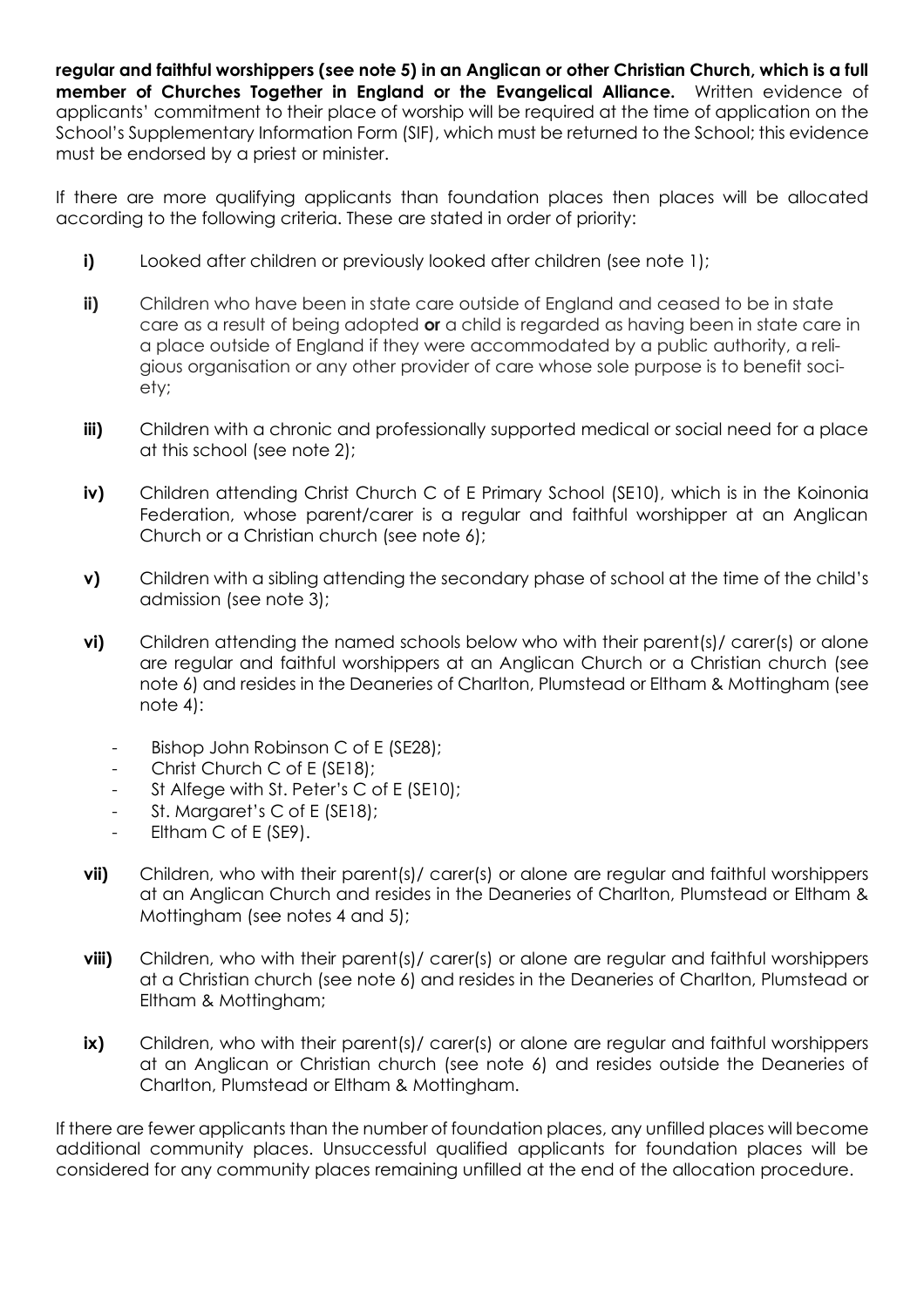**regular and faithful worshippers (see note 5) in an Anglican or other Christian Church, which is a full member of Churches Together in England or the Evangelical Alliance.** Written evidence of applicants' commitment to their place of worship will be required at the time of application on the School's Supplementary Information Form (SIF), which must be returned to the School; this evidence must be endorsed by a priest or minister.

If there are more qualifying applicants than foundation places then places will be allocated according to the following criteria. These are stated in order of priority:

- **i)** Looked after children or previously looked after children (see note 1);
- **ii)** Children who have been in state care outside of England and ceased to be in state care as a result of being adopted **or** a child is regarded as having been in state care in a place outside of England if they were accommodated by a public authority, a religious organisation or any other provider of care whose sole purpose is to benefit society;
- **iii)** Children with a chronic and professionally supported medical or social need for a place at this school (see note 2);
- **iv)** Children attending Christ Church C of E Primary School (SE10), which is in the Koinonia Federation, whose parent/carer is a regular and faithful worshipper at an Anglican Church or a Christian church (see note 6);
- **v)** Children with a sibling attending the secondary phase of school at the time of the child's admission (see note 3);
- **vi)** Children attending the named schools below who with their parent(s) carer(s) or alone are regular and faithful worshippers at an Anglican Church or a Christian church (see note 6) and resides in the Deaneries of Charlton, Plumstead or Eltham & Mottingham (see note 4):
	- Bishop John Robinson C of E (SE28);
	- Christ Church C of E (SE18);
	- St Alfege with St. Peter's C of E (SE10);
	- St. Margaret's C of E (SE18);
	- Eltham C of E (SE9).
- **vii)** Children, who with their parent(s)/ carer(s) or alone are regular and faithful worshippers at an Anglican Church and resides in the Deaneries of Charlton, Plumstead or Eltham & Mottingham (see notes 4 and 5);
- **viii)** Children, who with their parent(s)/ carer(s) or alone are regular and faithful worshippers at a Christian church (see note 6) and resides in the Deaneries of Charlton, Plumstead or Eltham & Mottingham;
- **ix)** Children, who with their parent(s)/ carer(s) or alone are regular and faithful worshippers at an Anglican or Christian church (see note 6) and resides outside the Deaneries of Charlton, Plumstead or Eltham & Mottingham.

If there are fewer applicants than the number of foundation places, any unfilled places will become additional community places. Unsuccessful qualified applicants for foundation places will be considered for any community places remaining unfilled at the end of the allocation procedure.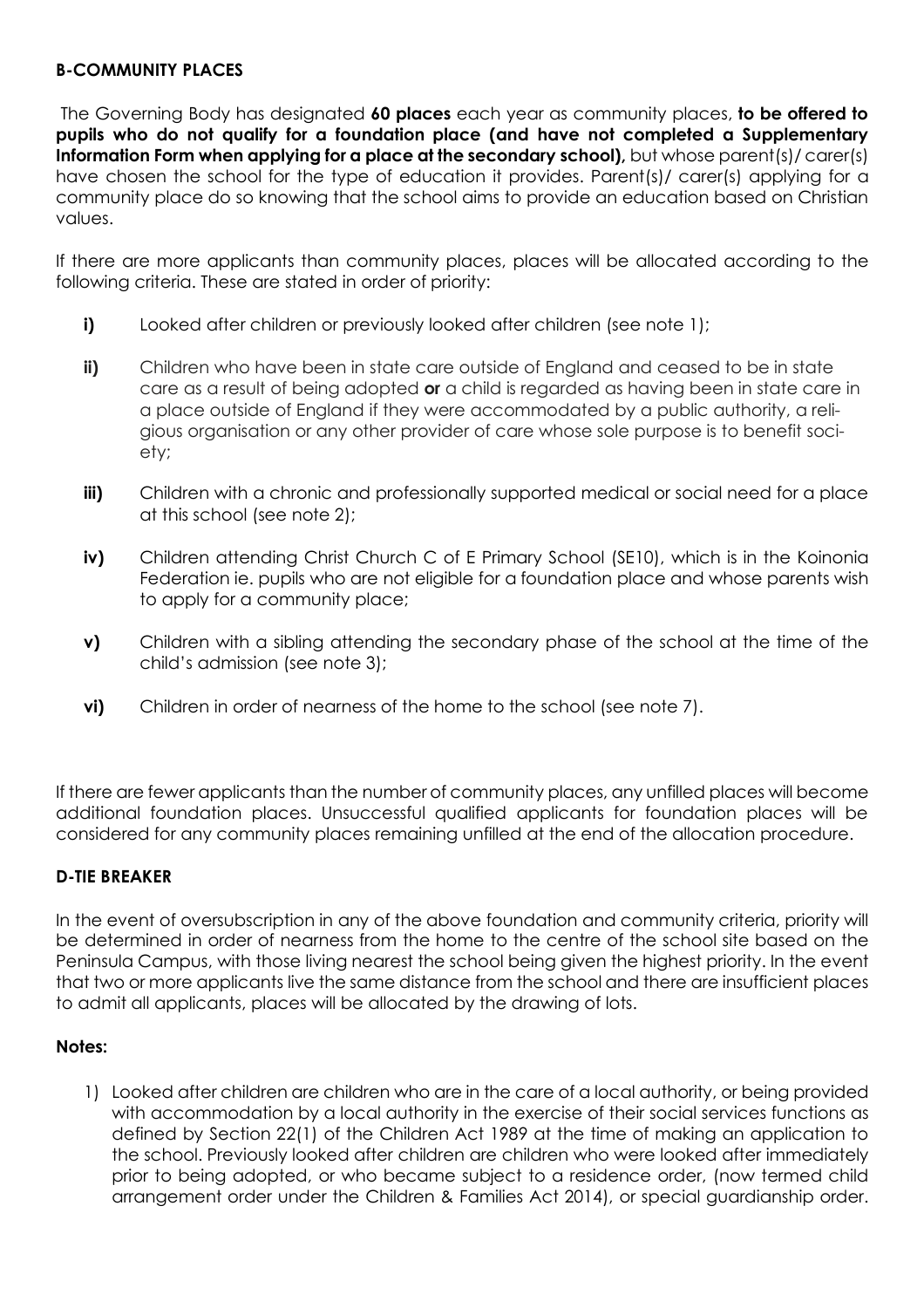#### **B-COMMUNITY PLACES**

The Governing Body has designated **60 places** each year as community places, **to be offered to pupils who do not qualify for a foundation place (and have not completed a Supplementary Information Form when applying for a place at the secondary school),** but whose parent(s)/ carer(s) have chosen the school for the type of education it provides. Parent(s)/ carer(s) applying for a community place do so knowing that the school aims to provide an education based on Christian values.

If there are more applicants than community places, places will be allocated according to the following criteria. These are stated in order of priority:

- **i)** Looked after children or previously looked after children (see note 1);
- **ii)** Children who have been in state care outside of England and ceased to be in state care as a result of being adopted **or** a child is regarded as having been in state care in a place outside of England if they were accommodated by a public authority, a religious organisation or any other provider of care whose sole purpose is to benefit society;
- **iii)** Children with a chronic and professionally supported medical or social need for a place at this school (see note 2);
- **iv)** Children attending Christ Church C of E Primary School (SE10), which is in the Koinonia Federation ie. pupils who are not eligible for a foundation place and whose parents wish to apply for a community place;
- **v)** Children with a sibling attending the secondary phase of the school at the time of the child's admission (see note 3);
- **vi)** Children in order of nearness of the home to the school (see note 7).

If there are fewer applicants than the number of community places, any unfilled places will become additional foundation places. Unsuccessful qualified applicants for foundation places will be considered for any community places remaining unfilled at the end of the allocation procedure.

### **D-TIE BREAKER**

In the event of oversubscription in any of the above foundation and community criteria, priority will be determined in order of nearness from the home to the centre of the school site based on the Peninsula Campus, with those living nearest the school being given the highest priority. In the event that two or more applicants live the same distance from the school and there are insufficient places to admit all applicants, places will be allocated by the drawing of lots.

#### **Notes:**

1) Looked after children are children who are in the care of a local authority, or being provided with accommodation by a local authority in the exercise of their social services functions as defined by Section 22(1) of the Children Act 1989 at the time of making an application to the school. Previously looked after children are children who were looked after immediately prior to being adopted, or who became subject to a residence order, (now termed child arrangement order under the Children & Families Act 2014), or special guardianship order.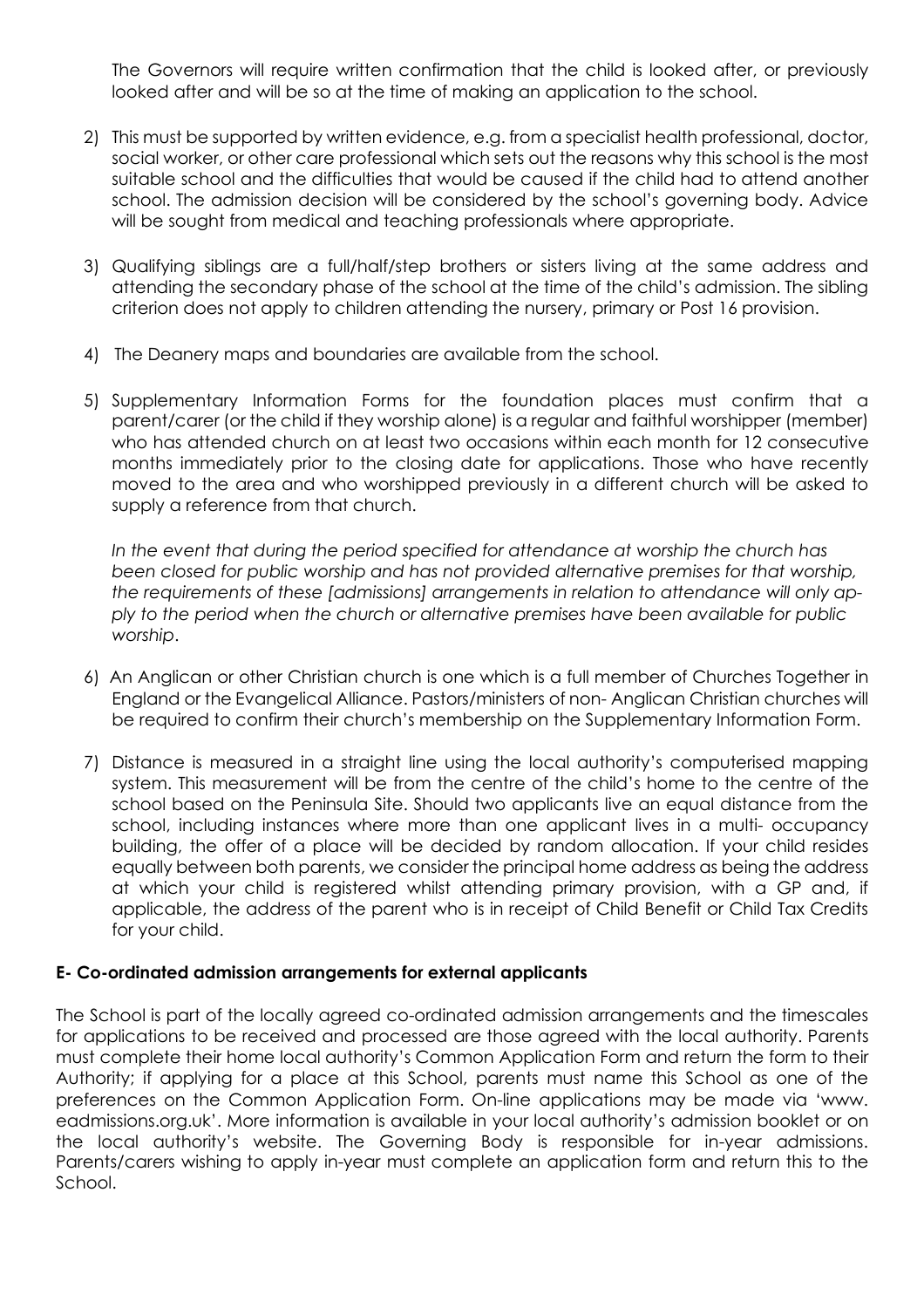The Governors will require written confirmation that the child is looked after, or previously looked after and will be so at the time of making an application to the school.

- 2) This must be supported by written evidence, e.g. from a specialist health professional, doctor, social worker, or other care professional which sets out the reasons why this school is the most suitable school and the difficulties that would be caused if the child had to attend another school. The admission decision will be considered by the school's governing body. Advice will be sought from medical and teaching professionals where appropriate.
- 3) Qualifying siblings are a full/half/step brothers or sisters living at the same address and attending the secondary phase of the school at the time of the child's admission. The sibling criterion does not apply to children attending the nursery, primary or Post 16 provision.
- 4) The Deanery maps and boundaries are available from the school.
- 5) Supplementary Information Forms for the foundation places must confirm that a parent/carer (or the child if they worship alone) is a regular and faithful worshipper (member) who has attended church on at least two occasions within each month for 12 consecutive months immediately prior to the closing date for applications. Those who have recently moved to the area and who worshipped previously in a different church will be asked to supply a reference from that church.

*In the event that during the period specified for attendance at worship the church has been closed for public worship and has not provided alternative premises for that worship, the requirements of these [admissions] arrangements in relation to attendance will only apply to the period when the church or alternative premises have been available for public worship*.

- 6) An Anglican or other Christian church is one which is a full member of Churches Together in England or the Evangelical Alliance. Pastors/ministers of non- Anglican Christian churches will be required to confirm their church's membership on the Supplementary Information Form.
- 7) Distance is measured in a straight line using the local authority's computerised mapping system. This measurement will be from the centre of the child's home to the centre of the school based on the Peninsula Site. Should two applicants live an equal distance from the school, including instances where more than one applicant lives in a multi- occupancy building, the offer of a place will be decided by random allocation. If your child resides equally between both parents, we consider the principal home address as being the address at which your child is registered whilst attending primary provision, with a GP and, if applicable, the address of the parent who is in receipt of Child Benefit or Child Tax Credits for your child.

### **E- Co-ordinated admission arrangements for external applicants**

The School is part of the locally agreed co-ordinated admission arrangements and the timescales for applications to be received and processed are those agreed with the local authority. Parents must complete their home local authority's Common Application Form and return the form to their Authority; if applying for a place at this School, parents must name this School as one of the preferences on the Common Application Form. On-line applications may be made via 'www. eadmissions.org.uk'. More information is available in your local authority's admission booklet or on the local authority's website. The Governing Body is responsible for in-year admissions. Parents/carers wishing to apply in-year must complete an application form and return this to the School.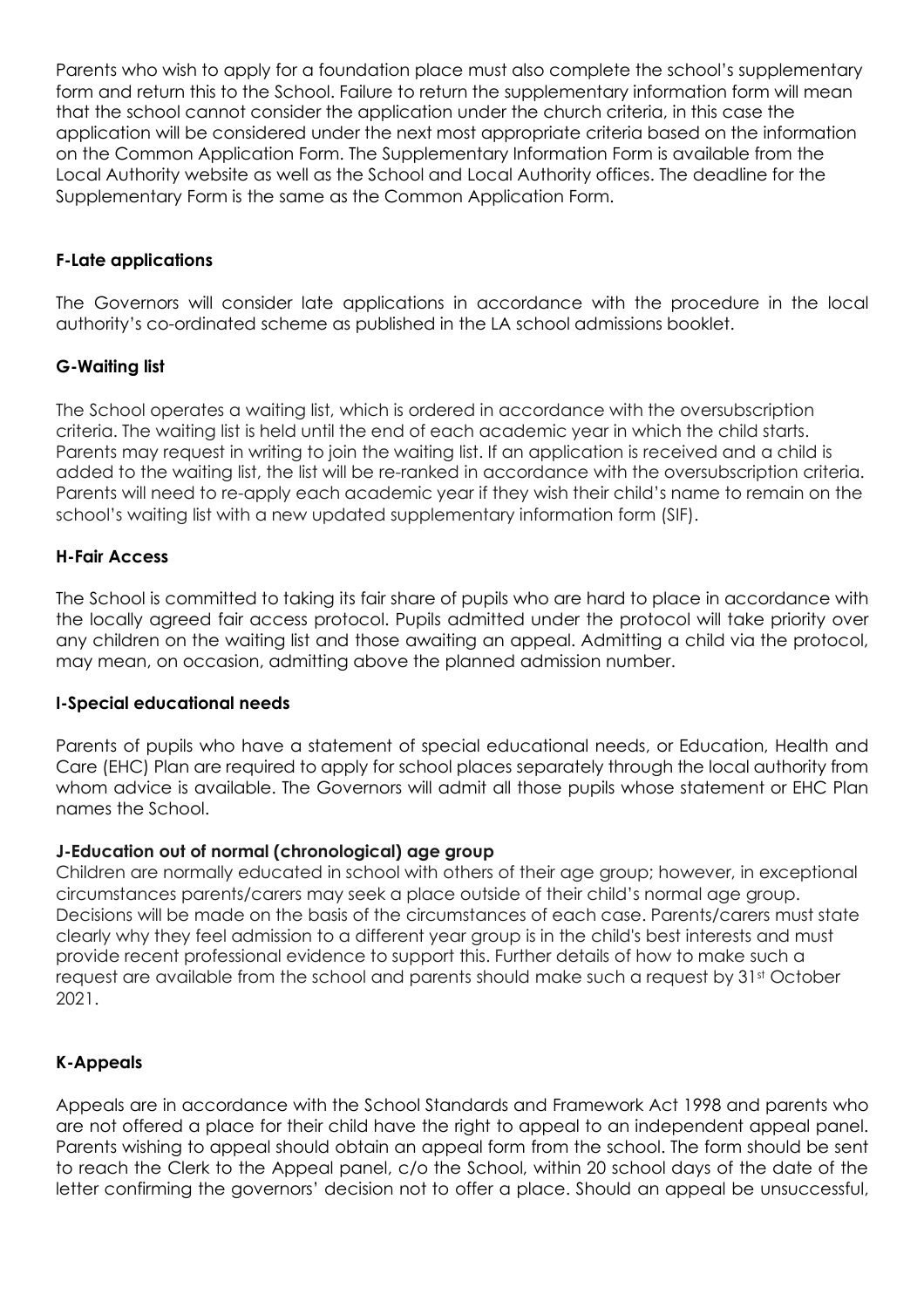Parents who wish to apply for a foundation place must also complete the school's supplementary form and return this to the School. Failure to return the supplementary information form will mean that the school cannot consider the application under the church criteria, in this case the application will be considered under the next most appropriate criteria based on the information on the Common Application Form. The Supplementary Information Form is available from the Local Authority website as well as the School and Local Authority offices. The deadline for the Supplementary Form is the same as the Common Application Form.

# **F-Late applications**

The Governors will consider late applications in accordance with the procedure in the local authority's co-ordinated scheme as published in the LA school admissions booklet.

# **G-Waiting list**

The School operates a waiting list, which is ordered in accordance with the oversubscription criteria. The waiting list is held until the end of each academic year in which the child starts. Parents may request in writing to join the waiting list. If an application is received and a child is added to the waiting list, the list will be re-ranked in accordance with the oversubscription criteria. Parents will need to re-apply each academic year if they wish their child's name to remain on the school's waiting list with a new updated supplementary information form (SIF).

# **H-Fair Access**

The School is committed to taking its fair share of pupils who are hard to place in accordance with the locally agreed fair access protocol. Pupils admitted under the protocol will take priority over any children on the waiting list and those awaiting an appeal. Admitting a child via the protocol, may mean, on occasion, admitting above the planned admission number.

### **I-Special educational needs**

Parents of pupils who have a statement of special educational needs, or Education, Health and Care (EHC) Plan are required to apply for school places separately through the local authority from whom advice is available. The Governors will admit all those pupils whose statement or EHC Plan names the School.

### **J-Education out of normal (chronological) age group**

Children are normally educated in school with others of their age group; however, in exceptional circumstances parents/carers may seek a place outside of their child's normal age group. Decisions will be made on the basis of the circumstances of each case. Parents/carers must state clearly why they feel admission to a different year group is in the child's best interests and must provide recent professional evidence to support this. Further details of how to make such a request are available from the school and parents should make such a request by 31<sup>st</sup> October 2021.

### **K-Appeals**

Appeals are in accordance with the School Standards and Framework Act 1998 and parents who are not offered a place for their child have the right to appeal to an independent appeal panel. Parents wishing to appeal should obtain an appeal form from the school. The form should be sent to reach the Clerk to the Appeal panel, c/o the School, within 20 school days of the date of the letter confirming the governors' decision not to offer a place. Should an appeal be unsuccessful,